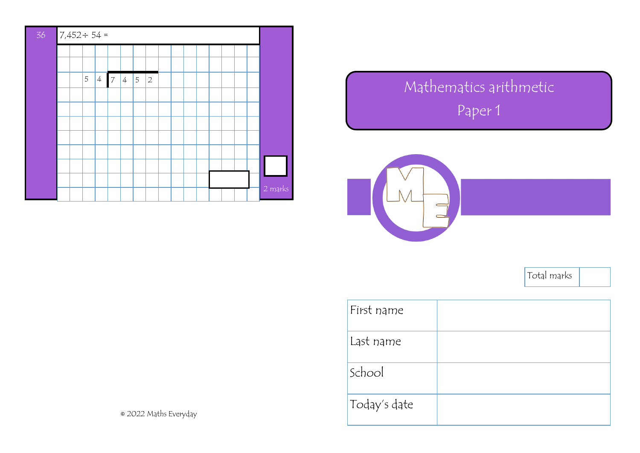

## Mathematics arithmetic Paper 1



Total marks

| First name   |  |
|--------------|--|
| Last name    |  |
| School       |  |
| Today's date |  |

2022 Maths Everyday ©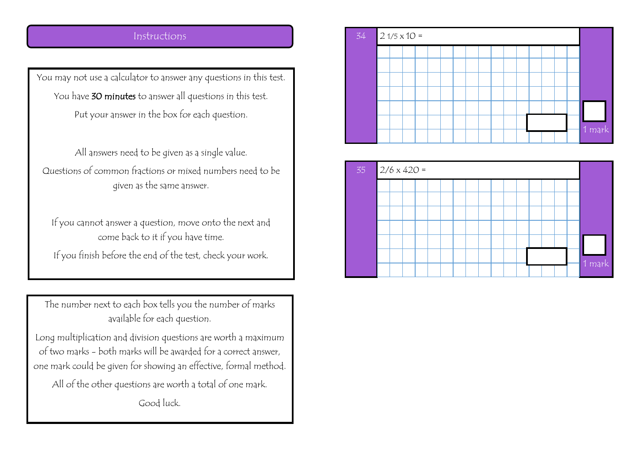## Instructions

You may not use a calculator to answer any questions in this test. You have 30 minutes to answer all questions in this test. Put your answer in the box for each question.

All answers need to be given as a single value. Questions of common fractions or mixed numbers need to be given as the same answer.

If you cannot answer a question, move onto the next and come back to it if you have time.

If you finish before the end of the test, check your work.

The number next to each box tells you the number of marks available for each question.

Long multiplication and division questions are worth a maximum of two marks - both marks will be awarded for a correct answer, one mark could be given for showing an effective, formal method.

All of the other questions are worth a total of one mark. Good luck.



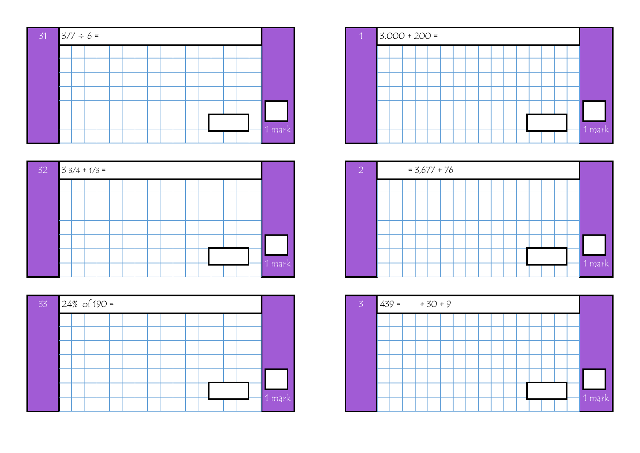









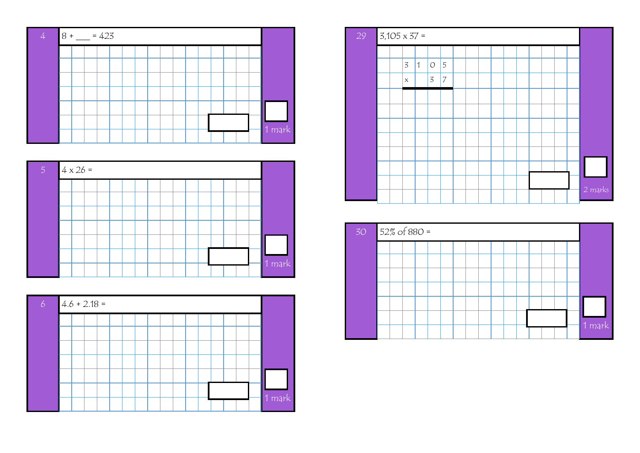







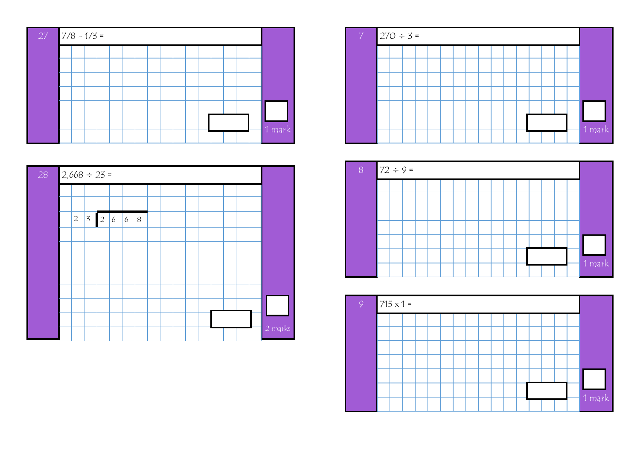







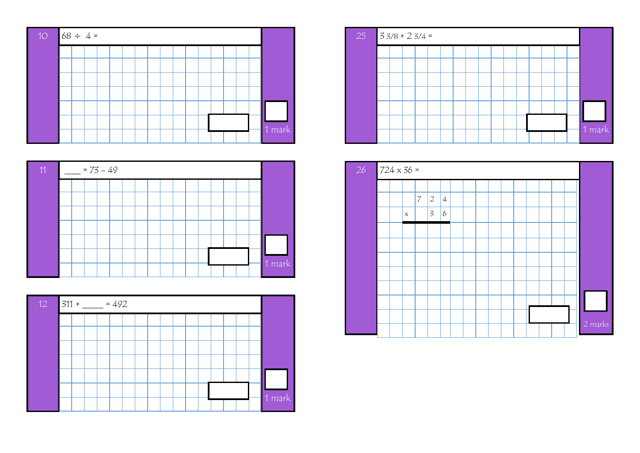







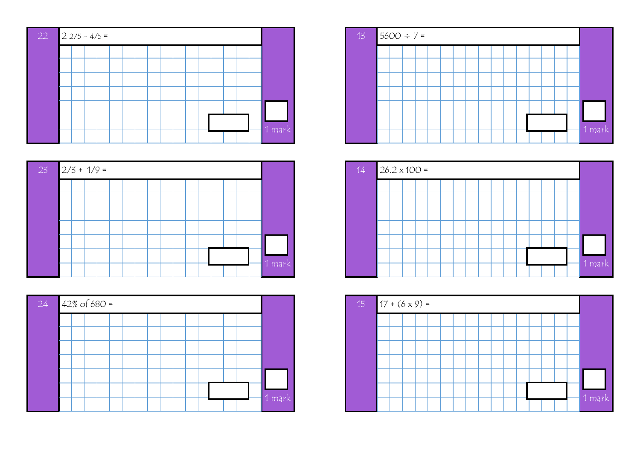